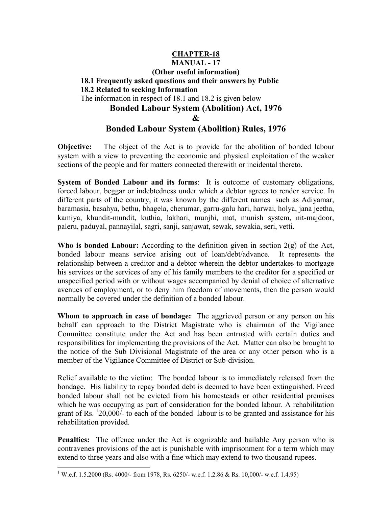## **CHAPTER-18 MANUAL - 17 (Other useful information) 18.1 Frequently asked questions and their answers by Public 18.2 Related to seeking Information**  The information in respect of 18.1 and 18.2 is given below **Bonded Labour System (Abolition) Act, 1976 & Bonded Labour System (Abolition) Rules, 1976**

**Objective:** The object of the Act is to provide for the abolition of bonded labour system with a view to preventing the economic and physical exploitation of the weaker sections of the people and for matters connected therewith or incidental thereto.

**System of Bonded Labour and its forms**: It is outcome of customary obligations, forced labour, beggar or indebtedness under which a debtor agrees to render service. In different parts of the country, it was known by the different names such as Adiyamar, baramasia, basahya, bethu, bhagela, cherumar, garru-galu hari, harwai, holya, jana jeetha, kamiya, khundit-mundit, kuthia, lakhari, munjhi, mat, munish system, nit-majdoor, paleru, paduyal, pannayilal, sagri, sanji, sanjawat, sewak, sewakia, seri, vetti.

**Who is bonded Labour:** According to the definition given in section 2(g) of the Act, bonded labour means service arising out of loan/debt/advance. It represents the relationship between a creditor and a debtor wherein the debtor undertakes to mortgage his services or the services of any of his family members to the creditor for a specified or unspecified period with or without wages accompanied by denial of choice of alternative avenues of employment, or to deny him freedom of movements, then the person would normally be covered under the definition of a bonded labour.

**Whom to approach in case of bondage:** The aggrieved person or any person on his behalf can approach to the District Magistrate who is chairman of the Vigilance Committee constitute under the Act and has been entrusted with certain duties and responsibilities for implementing the provisions of the Act. Matter can also be brought to the notice of the Sub Divisional Magistrate of the area or any other person who is a member of the Vigilance Committee of District or Sub-division.

Relief available to the victim: The bonded labour is to immediately released from the bondage. His liability to repay bonded debt is deemed to have been extinguished. Freed bonded labour shall not be evicted from his homesteads or other residential premises which he was occupying as part of consideration for the bonded labour. A rehabilitation grant of Rs.  $120,000/$ - to each of the bonded labour is to be granted and assistance for his rehabilitation provided.

**Penalties:** The offence under the Act is cognizable and bailable Any person who is contravenes provisions of the act is punishable with imprisonment for a term which may extend to three years and also with a fine which may extend to two thousand rupees.

 $\overline{a}$ 

<sup>&</sup>lt;sup>1</sup> W.e.f. 1.5.2000 (Rs. 4000/- from 1978, Rs. 6250/- w.e.f. 1.2.86 & Rs. 10,000/- w.e.f. 1.4.95)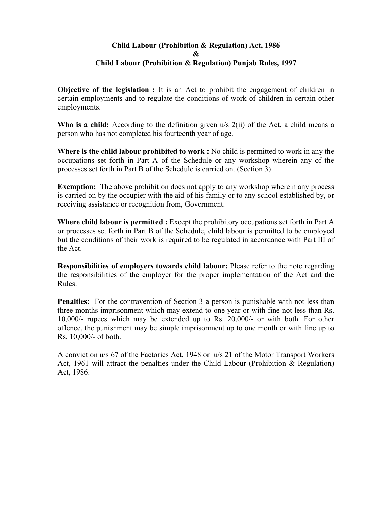#### **Child Labour (Prohibition & Regulation) Act, 1986 & Child Labour (Prohibition & Regulation) Punjab Rules, 1997**

**Objective of the legislation :** It is an Act to prohibit the engagement of children in certain employments and to regulate the conditions of work of children in certain other employments.

**Who is a child:** According to the definition given u/s 2(ii) of the Act, a child means a person who has not completed his fourteenth year of age.

**Where is the child labour prohibited to work :** No child is permitted to work in any the occupations set forth in Part A of the Schedule or any workshop wherein any of the processes set forth in Part B of the Schedule is carried on. (Section 3)

**Exemption:** The above prohibition does not apply to any workshop wherein any process is carried on by the occupier with the aid of his family or to any school established by, or receiving assistance or recognition from, Government.

**Where child labour is permitted :** Except the prohibitory occupations set forth in Part A or processes set forth in Part B of the Schedule, child labour is permitted to be employed but the conditions of their work is required to be regulated in accordance with Part III of the Act.

**Responsibilities of employers towards child labour:** Please refer to the note regarding the responsibilities of the employer for the proper implementation of the Act and the Rules.

**Penalties:** For the contravention of Section 3 a person is punishable with not less than three months imprisonment which may extend to one year or with fine not less than Rs. 10,000/- rupees which may be extended up to Rs. 20,000/- or with both. For other offence, the punishment may be simple imprisonment up to one month or with fine up to Rs. 10,000/- of both.

A conviction u/s 67 of the Factories Act, 1948 or u/s 21 of the Motor Transport Workers Act, 1961 will attract the penalties under the Child Labour (Prohibition & Regulation) Act, 1986.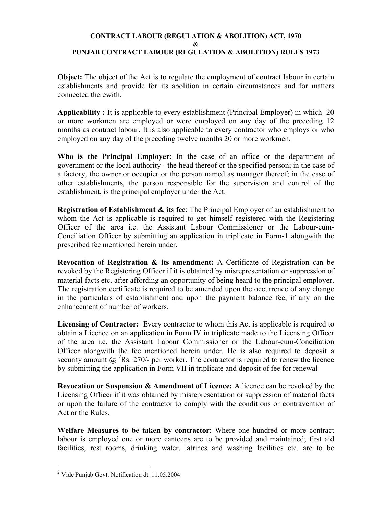## **CONTRACT LABOUR (REGULATION & ABOLITION) ACT, 1970 & PUNJAB CONTRACT LABOUR (REGULATION & ABOLITION) RULES 1973**

**Object:** The object of the Act is to regulate the employment of contract labour in certain establishments and provide for its abolition in certain circumstances and for matters connected therewith.

**Applicability :** It is applicable to every establishment (Principal Employer) in which 20 or more workmen are employed or were employed on any day of the preceding 12 months as contract labour. It is also applicable to every contractor who employs or who employed on any day of the preceding twelve months 20 or more workmen.

**Who is the Principal Employer:** In the case of an office or the department of government or the local authority - the head thereof or the specified person; in the case of a factory, the owner or occupier or the person named as manager thereof; in the case of other establishments, the person responsible for the supervision and control of the establishment, is the principal employer under the Act.

**Registration of Establishment & its fee**: The Principal Employer of an establishment to whom the Act is applicable is required to get himself registered with the Registering Officer of the area i.e. the Assistant Labour Commissioner or the Labour-cum-Conciliation Officer by submitting an application in triplicate in Form-1 alongwith the prescribed fee mentioned herein under.

**Revocation of Registration & its amendment:** A Certificate of Registration can be revoked by the Registering Officer if it is obtained by misrepresentation or suppression of material facts etc. after affording an opportunity of being heard to the principal employer. The registration certificate is required to be amended upon the occurrence of any change in the particulars of establishment and upon the payment balance fee, if any on the enhancement of number of workers.

**Licensing of Contractor:** Every contractor to whom this Act is applicable is required to obtain a Licence on an application in Form IV in triplicate made to the Licensing Officer of the area i.e. the Assistant Labour Commissioner or the Labour-cum-Conciliation Officer alongwith the fee mentioned herein under. He is also required to deposit a security amount  $\omega^2$ Rs. 270/- per worker. The contractor is required to renew the licence by submitting the application in Form VII in triplicate and deposit of fee for renewal

**Revocation or Suspension & Amendment of Licence:** A licence can be revoked by the Licensing Officer if it was obtained by misrepresentation or suppression of material facts or upon the failure of the contractor to comply with the conditions or contravention of Act or the Rules.

**Welfare Measures to be taken by contractor**: Where one hundred or more contract labour is employed one or more canteens are to be provided and maintained; first aid facilities, rest rooms, drinking water, latrines and washing facilities etc. are to be

 $\overline{a}$ 

<sup>&</sup>lt;sup>2</sup> Vide Punjab Govt. Notification dt. 11.05.2004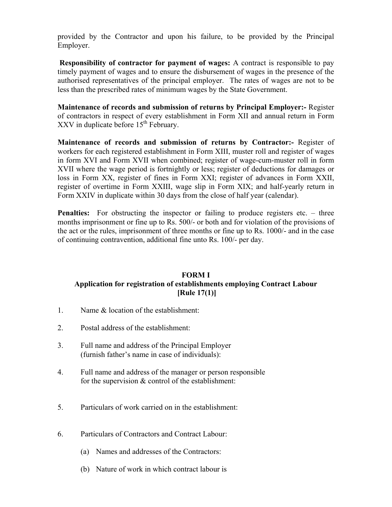provided by the Contractor and upon his failure, to be provided by the Principal Employer.

**Responsibility of contractor for payment of wages:** A contract is responsible to pay timely payment of wages and to ensure the disbursement of wages in the presence of the authorised representatives of the principal employer. The rates of wages are not to be less than the prescribed rates of minimum wages by the State Government.

**Maintenance of records and submission of returns by Principal Employer:-** Register of contractors in respect of every establishment in Form XII and annual return in Form  $XXV$  in duplicate before  $15<sup>th</sup>$  February.

**Maintenance of records and submission of returns by Contractor:-** Register of workers for each registered establishment in Form XIII, muster roll and register of wages in form XVI and Form XVII when combined; register of wage-cum-muster roll in form XVII where the wage period is fortnightly or less; register of deductions for damages or loss in Form XX, register of fines in Form XXI; register of advances in Form XXII, register of overtime in Form XXIII, wage slip in Form XIX; and half-yearly return in Form XXIV in duplicate within 30 days from the close of half year (calendar).

**Penalties:** For obstructing the inspector or failing to produce registers etc. – three months imprisonment or fine up to Rs. 500/- or both and for violation of the provisions of the act or the rules, imprisonment of three months or fine up to Rs. 1000/- and in the case of continuing contravention, additional fine unto Rs. 100/- per day.

## **FORM I Application for registration of establishments employing Contract Labour [Rule 17(1)]**

- 1. Name & location of the establishment:
- 2. Postal address of the establishment:
- 3. Full name and address of the Principal Employer (furnish father's name in case of individuals):
- 4. Full name and address of the manager or person responsible for the supervision & control of the establishment:
- 5. Particulars of work carried on in the establishment:
- 6. Particulars of Contractors and Contract Labour:
	- (a) Names and addresses of the Contractors:
	- (b) Nature of work in which contract labour is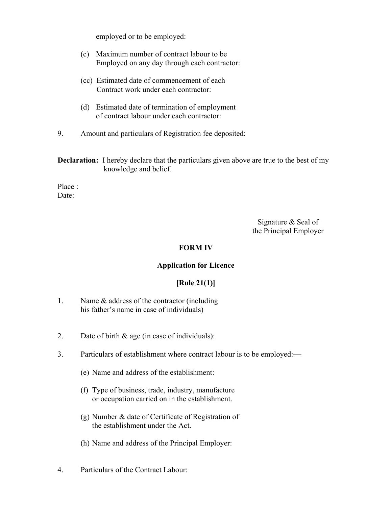employed or to be employed:

- (c) Maximum number of contract labour to be Employed on any day through each contractor:
- (cc) Estimated date of commencement of each Contract work under each contractor:
- (d) Estimated date of termination of employment of contract labour under each contractor:
- 9. Amount and particulars of Registration fee deposited:

**Declaration:** I hereby declare that the particulars given above are true to the best of my knowledge and belief.

Place : Date<sup>-</sup>

> Signature & Seal of the Principal Employer

### **FORM IV**

#### **Application for Licence**

## **[Rule 21(1)]**

- 1. Name & address of the contractor (including his father's name in case of individuals)
- 2. Date of birth  $\&$  age (in case of individuals):
- 3. Particulars of establishment where contract labour is to be employed:
	- (e) Name and address of the establishment:
	- (f) Type of business, trade, industry, manufacture or occupation carried on in the establishment.
	- (g) Number & date of Certificate of Registration of the establishment under the Act.
	- (h) Name and address of the Principal Employer:
- 4. Particulars of the Contract Labour: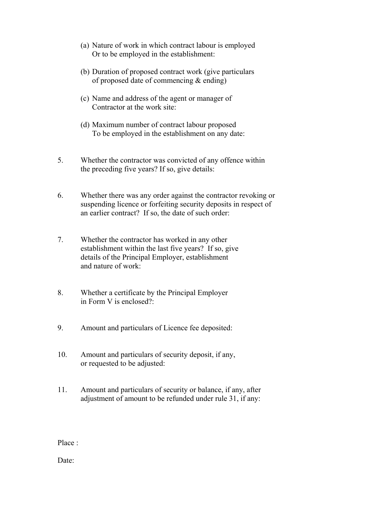- (a) Nature of work in which contract labour is employed Or to be employed in the establishment:
- (b) Duration of proposed contract work (give particulars of proposed date of commencing & ending)
- (c) Name and address of the agent or manager of Contractor at the work site:
- (d) Maximum number of contract labour proposed To be employed in the establishment on any date:
- 5. Whether the contractor was convicted of any offence within the preceding five years? If so, give details:
- 6. Whether there was any order against the contractor revoking or suspending licence or forfeiting security deposits in respect of an earlier contract? If so, the date of such order:
- 7. Whether the contractor has worked in any other establishment within the last five years? If so, give details of the Principal Employer, establishment and nature of work:
- 8. Whether a certificate by the Principal Employer in Form V is enclosed?:
- 9. Amount and particulars of Licence fee deposited:
- 10. Amount and particulars of security deposit, if any, or requested to be adjusted:
- 11. Amount and particulars of security or balance, if any, after adjustment of amount to be refunded under rule 31, if any:

Place :

Date: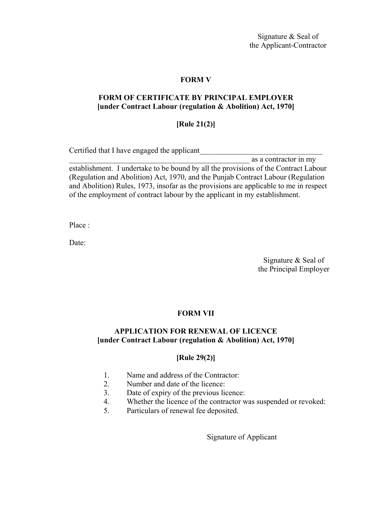Signature & Seal of the Applicant-Contractor

#### **FORM V**

#### **FORM OF CERTIFICATE BY PRINCIPAL EMPLOYER [under Contract Labour (regulation & Abolition) Act, 1970]**

### **[Rule 21(2)]**

Certified that I have engaged the applicant

\_\_\_\_\_\_\_\_\_\_\_\_\_\_\_\_\_\_\_\_\_\_\_\_\_\_\_\_\_\_\_\_\_\_\_\_\_\_\_\_\_\_\_\_\_\_\_ as a contractor in my establishment. I undertake to be bound by all the provisions of the Contract Labour (Regulation and Abolition) Act, 1970, and the Punjab Contract Labour (Regulation and Abolition) Rules, 1973, insofar as the provisions are applicable to me in respect of the employment of contract labour by the applicant in my establishment.

Place :

Date:

Signature & Seal of the Principal Employer

#### **FORM VII**

#### **APPLICATION FOR RENEWAL OF LICENCE [under Contract Labour (regulation & Abolition) Act, 1970]**

#### **[Rule 29(2)]**

- 1. Name and address of the Contractor:
- 2. Number and date of the licence:
- 3. Date of expiry of the previous licence:
- 4. Whether the licence of the contractor was suspended or revoked:
- 5. Particulars of renewal fee deposited.

Signature of Applicant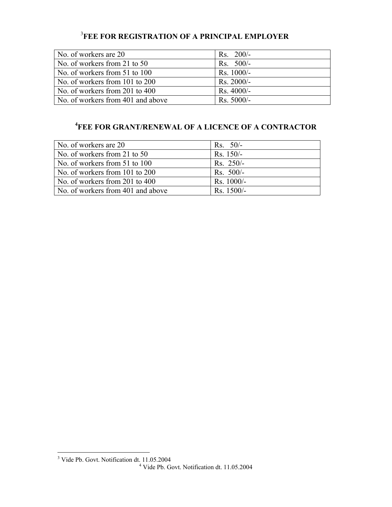## 3 **FEE FOR REGISTRATION OF A PRINCIPAL EMPLOYER**

| $Rs. 200/-$  |  |
|--------------|--|
| $Rs. 500/-$  |  |
| Rs. 1000/-   |  |
| $Rs. 2000/-$ |  |
| Rs. 4000/-   |  |
| Rs. 5000/-   |  |
|              |  |

## **4 FEE FOR GRANT/RENEWAL OF A LICENCE OF A CONTRACTOR**

| No. of workers are 20             | $Rs. 50/-$   |
|-----------------------------------|--------------|
| No. of workers from 21 to 50      | $Rs. 150/-$  |
| No. of workers from 51 to 100     | $Rs. 250/-$  |
| No. of workers from 101 to 200    | $Rs. 500/-$  |
| No. of workers from 201 to 400    | $Rs. 1000/-$ |
| No. of workers from 401 and above | Rs. 1500/-   |

 3 Vide Pb. Govt. Notification dt. 11.05.2004 4 Vide Pb. Govt. Notification dt. 11.05.2004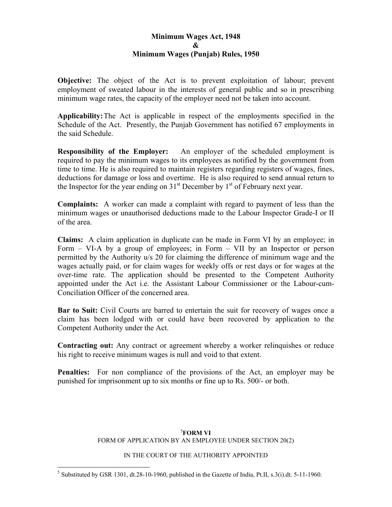## **Minimum Wages Act, 1948 & Minimum Wages (Punjab) Rules, 1950**

**Objective:** The object of the Act is to prevent exploitation of labour; prevent employment of sweated labour in the interests of general public and so in prescribing minimum wage rates, the capacity of the employer need not be taken into account.

**Applicability:** The Act is applicable in respect of the employments specified in the Schedule of the Act. Presently, the Punjab Government has notified 67 employments in the said Schedule.

**Responsibility of the Employer:** An employer of the scheduled employment is required to pay the minimum wages to its employees as notified by the government from time to time. He is also required to maintain registers regarding registers of wages, fines, deductions for damage or loss and overtime. He is also required to send annual return to the Inspector for the year ending on  $31<sup>st</sup>$  December by  $1<sup>st</sup>$  of February next year.

**Complaints:** A worker can made a complaint with regard to payment of less than the minimum wages or unauthorised deductions made to the Labour Inspector Grade-I or II of the area.

**Claims:** A claim application in duplicate can be made in Form VI by an employee; in Form – VI-A by a group of employees; in Form – VII by an Inspector or person permitted by the Authority u/s 20 for claiming the difference of minimum wage and the wages actually paid, or for claim wages for weekly offs or rest days or for wages at the over-time rate. The application should be presented to the Competent Authority appointed under the Act i.e. the Assistant Labour Commissioner or the Labour-cum-Conciliation Officer of the concerned area.

**Bar to Suit:** Civil Courts are barred to entertain the suit for recovery of wages once a claim has been lodged with or could have been recovered by application to the Competent Authority under the Act.

**Contracting out:** Any contract or agreement whereby a worker relinquishes or reduce his right to receive minimum wages is null and void to that extent.

**Penalties:** For non compliance of the provisions of the Act, an employer may be punished for imprisonment up to six months or fine up to Rs. 500/- or both.

### 5 **FORM VI**

## FORM OF APPLICATION BY AN EMPLOYEE UNDER SECTION 20(2)

#### IN THE COURT OF THE AUTHORITY APPOINTED

 $\overline{a}$ 

<sup>&</sup>lt;sup>5</sup> Substituted by GSR 1301, dt.28-10-1960, published in the Gazette of India, Pt.II, s.3(i).dt. 5-11-1960.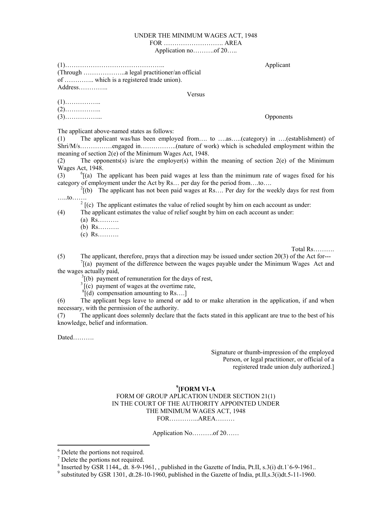#### UNDER THE MINIMUM WAGES ACT, 1948

#### FOR ………………………. AREA

Application no……….of 20…..

(1)……………………………………….. Applicant (Through ………………..a legal practitioner/an official of ………….. which is a registered trade union). Address…………..

Versus

The applicant above-named states as follows:

(1) The applicant was/has been employed from…. to ….as…..(category) in ….(establishment) of Shri/M/s……………engaged in……………..(nature of work) which is scheduled employment within the meaning of section 2(e) of the Minimum Wages Act, 1948.

(2) The opponents(s) is/are the employer(s) within the meaning of section 2(e) of the Minimum Wages Act, 1948.

 $(3)$  $^{\circ}$ [(a) The applicant has been paid wages at less than the minimum rate of wages fixed for his category of employment under the Act by Rs... per day for the period from....to....

 $^{2}$ [(b) The applicant has not been paid wages at Rs.... Per day for the weekly days for rest from .....to…….<br><sup>2</sup> [(c) The applicant estimates the value of relied sought by him on each account as under:

(4) The applicant estimates the value of relief sought by him on each account as under:

(a) Rs……….

(b) Rs……….

(c) Rs……….

Total Rs……….

(5) The applicant, therefore, prays that a direction may be issued under section 20(3) of the Act for--- $\int_{0}^{\pi}$  (a) payment of the difference between the wages payable under the Minimum Wages Act and the wages actually paid,<br> $3(6)$  payment of remuneration for the days of rest,

 $3\left[\text{(c)} \text{ payment of wages at the overtime rate,}\right]$ 

 $\sqrt[8]{(d)}$  compensation amounting to Rs....

(6) The applicant begs leave to amend or add to or make alteration in the application, if and when necessary, with the permission of the authority.

(7) The applicant does solemnly declare that the facts stated in this applicant are true to the best of his knowledge, belief and information.

Dated……….

 $\overline{a}$ 

Signature or thumb-impression of the employed Person, or legal practitioner, or official of a registered trade union duly authorized.]

#### **9 [FORM VI-A**  FORM OF GROUP APLICATION UNDER SECTION 21(1) IN THE COURT OF THE AUTHORITY APPOINTED UNDER THE MINIMUM WAGES ACT, 1948 FOR…………..AREA………

Application No……….of 20……

<sup>9</sup> substituted by GSR 1301, dt.28-10-1960, published in the Gazette of India, pt.II,s.3(i)dt.5-11-1960.

Opponents

<sup>&</sup>lt;sup>6</sup> Delete the portions not required.

<sup>7</sup> Delete the portions not required.

<sup>&</sup>lt;sup>8</sup> Inserted by GSR 1144,, dt. 8-9-1961, , published in the Gazette of India, Pt.II, s.3(i) dt.1`6-9-1961.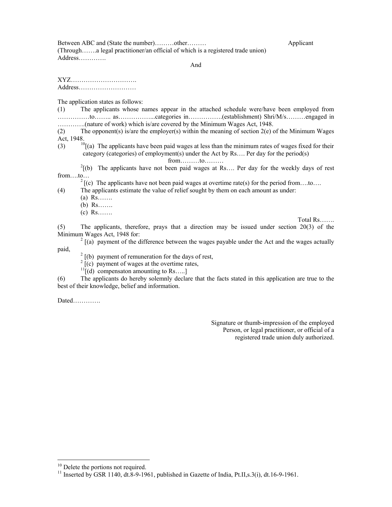Between ABC and (State the number)………other……… Applicant (Through…….a legal practitioner/an official of which is a registered trade union) Address………….

And

XYZ…………………………. Address………………………

The application states as follows:

(1) The applicants whose names appear in the attached schedule were/have been employed from ……………to…….. as……………...categories in…………….(establishment) Shri/M/s………engaged in ………….(nature of work) which is/are covered by the Minimum Wages Act, 1948.

(2) The opponent(s) is/are the employer(s) within the meaning of section  $2(e)$  of the Minimum Wages Act, 1948.

(3)  $10[(a)$  The applicants have been paid wages at less than the minimum rates of wages fixed for their category (categories) of employment(s) under the Act by Rs…. Per day for the period(s)

from……..to……..<br>
<sup>2</sup>[(b) The applicants have not been paid wages at Rs…. Per day for the weekly days of rest from….to…  $2 \int_{0}^{2} f(c)$  The applicants have not been paid wages at overtime rate(s) for the period from….to….

(4) The applicants estimate the value of relief sought by them on each amount as under:

- $(a)$  Rs……
- (b) Rs…….
- (c) Rs…….

Total Rs…….

(5) The applicants, therefore, prays that a direction may be issued under section 20(3) of the Minimum Wages Act, 1948 for: 2

 $^{2}$  [(a) payment of the difference between the wages payable under the Act and the wages actually paid, 2

 $2 \int (b)$  payment of remuneration for the days of rest,

 $2 \overline{c}$  (c) payment of wages at the overtime rates,

 $11$ [(d) compensaton amounting to Rs....]

(6) The applicants do hereby solemnly declare that the facts stated in this application are true to the best of their knowledge, belief and information.

Dated………….

Signature or thumb-impression of the employed Person, or legal practitioner, or official of a registered trade union duly authorized.

 $\overline{a}$ 

<sup>&</sup>lt;sup>10</sup> Delete the portions not required.

<sup>&</sup>lt;sup>11</sup> Inserted by GSR 1140, dt.8-9-1961, published in Gazette of India, Pt.II,s.3(i), dt.16-9-1961.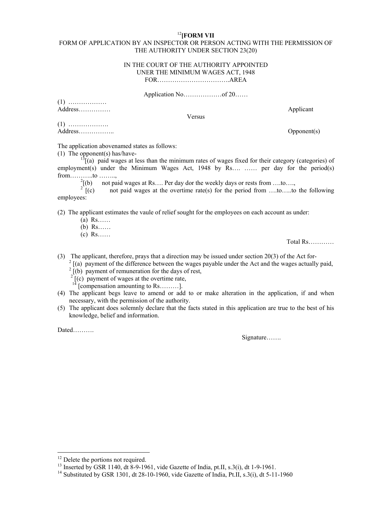#### <sup>12</sup>**[FORM VII**

#### FORM OF APPLICATION BY AN INSPECTOR OR PERSON ACTING WITH THE PERMISSION OF THE AUTHORITY UNDER SECTION 23(20)

#### IN THE COURT OF THE AUTHORITY APPOINTED UNER THE MINIMUM WAGES ACT, 1948

FOR…………………………….AREA

Application No………………of 20……

(1) ……………… Address…………… Applicant

Versus

(1) ………………. Address…………….. Opponent(s)

The application abovenamed states as follows:

(1) The opponent(s) has/have-<br> $13\frac{13}{16}$ (a) paid wages at less than the minimum rates of wages fixed for their category (categories) of employment(s) under the Minimum Wages Act, 1948 by Rs.... …… per day for the period(s)  $from \ldots \ldots \ldots \ldots to \ldots \ldots$ 

 $\frac{2}{2}$ [(b) not paid wages at Rs…. Per day dor the weekly days or rests from ….to….,

not paid wages at the overtime rate(s) for the period from ....to.....to the following employees:

(2) The applicant estimates the vaule of relief sought for the employees on each account as under:

- (a) Rs……
- (b) Rs……
- (c) Rs……

Total Rs…………

- (3) The applicant, therefore, prays that a direction may be issued under section 20(3) of the Act for- 2
	- [(a) payment of the difference between the wages payable under the Act and the wages actually paid,
	- $2 \int_{0}^{2}$  (b) payment of remuneration for the days of rest,
	- $2\left[\frac{2}{\pi}\right]$  (c) payment of wages at the overtime rate,
	- $14$  [compensation amounting to Rs………].
- (4) The applicant begs leave to amend or add to or make alteration in the application, if and when necessary, with the permission of the authority.
- (5) The applicant does solemnly declare that the facts stated in this application are true to the best of his knowledge, belief and information.

Dated……….

 $\overline{a}$ 

Signature…….

<sup>&</sup>lt;sup>12</sup> Delete the portions not required.

<sup>&</sup>lt;sup>13</sup> Inserted by GSR 1140, dt 8-9-1961, vide Gazette of India, pt.II, s.3(i), dt 1-9-1961.

<sup>&</sup>lt;sup>14</sup> Substituted by GSR 1301, dt 28-10-1960, vide Gazette of India, Pt.II, s.3(i), dt 5-11-1960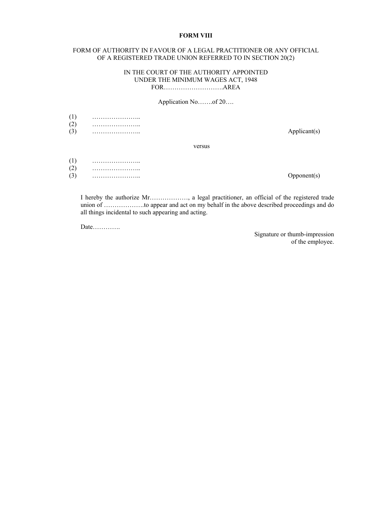#### **FORM VIII**

#### FORM OF AUTHORITY IN FAVOUR OF A LEGAL PRACTITIONER OR ANY OFFICIAL OF A REGISTERED TRADE UNION REFERRED TO IN SECTION 20(2)

#### IN THE COURT OF THE AUTHORITY APPOINTED UNDER THE MINIMUM WAGES ACT, 1948 FOR……………………….AREA

#### Application No…….of 20….

| (1)<br>(2) |        |              |
|------------|--------|--------------|
| (3)        |        | Applicant(s) |
|            | versus |              |
| (1)        |        |              |
| (2)        |        |              |
| (3)        |        | Opponent(s)  |

I hereby the authorize Mr………………, a legal practitioner, an official of the registered trade union of ……………….to appear and act on my behalf in the above described proceedings and do all things incidental to such appearing and acting.

Date………….

Signature or thumb-impression of the employee.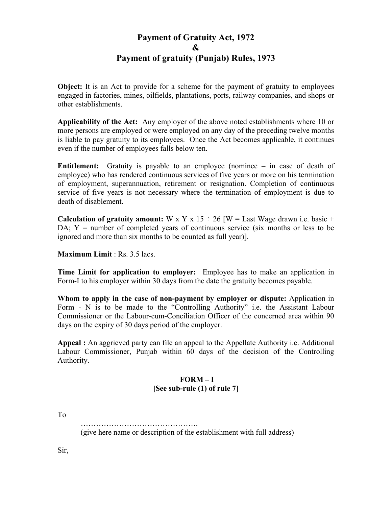# **Payment of Gratuity Act, 1972 & Payment of gratuity (Punjab) Rules, 1973**

**Object:** It is an Act to provide for a scheme for the payment of gratuity to employees engaged in factories, mines, oilfields, plantations, ports, railway companies, and shops or other establishments.

**Applicability of the Act:** Any employer of the above noted establishments where 10 or more persons are employed or were employed on any day of the preceding twelve months is liable to pay gratuity to its employees. Once the Act becomes applicable, it continues even if the number of employees falls below ten.

**Entitlement:** Gratuity is payable to an employee (nominee – in case of death of employee) who has rendered continuous services of five years or more on his termination of employment, superannuation, retirement or resignation. Completion of continuous service of five years is not necessary where the termination of employment is due to death of disablement.

**Calculation of gratuity amount:** W x Y x 15  $\div$  26 [W = Last Wage drawn i.e. basic + DA;  $Y =$  number of completed years of continuous service (six months or less to be ignored and more than six months to be counted as full year)].

**Maximum Limit** : Rs. 3.5 lacs.

**Time Limit for application to employer:** Employee has to make an application in Form-I to his employer within 30 days from the date the gratuity becomes payable.

**Whom to apply in the case of non-payment by employer or dispute:** Application in Form - N is to be made to the "Controlling Authority" i.e. the Assistant Labour Commissioner or the Labour-cum-Conciliation Officer of the concerned area within 90 days on the expiry of 30 days period of the employer.

**Appeal :** An aggrieved party can file an appeal to the Appellate Authority i.e. Additional Labour Commissioner, Punjab within 60 days of the decision of the Controlling Authority.

### **FORM – I [See sub-rule (1) of rule 7]**

To

(give here name or description of the establishment with full address)

Sir,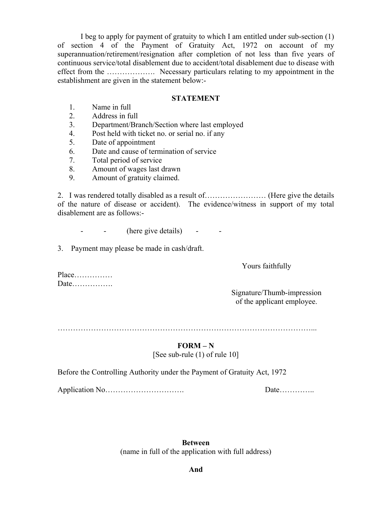I beg to apply for payment of gratuity to which I am entitled under sub-section (1) of section 4 of the Payment of Gratuity Act, 1972 on account of my superannuation/retirement/resignation after completion of not less than five years of continuous service/total disablement due to accident/total disablement due to disease with effect from the ………………. Necessary particulars relating to my appointment in the establishment are given in the statement below:-

#### **STATEMENT**

- 1. Name in full
- 2. Address in full
- 3. Department/Branch/Section where last employed
- 4. Post held with ticket no. or serial no. if any
- 5. Date of appointment
- 6. Date and cause of termination of service
- 7. Total period of service
- 8. Amount of wages last drawn
- 9. Amount of gratuity claimed.

2. I was rendered totally disabled as a result of…………………… (Here give the details of the nature of disease or accident). The evidence/witness in support of my total disablement are as follows:-

- - (here give details) - -

3. Payment may please be made in cash/draft.

Yours faithfully

Place…………… Date…………….

> Signature/Thumb-impression of the applicant employee.

### **FORM – N**

[See sub-rule (1) of rule 10]

Before the Controlling Authority under the Payment of Gratuity Act, 1972

Application No…………………………. Date…………..

**Between**  (name in full of the application with full address)

**And**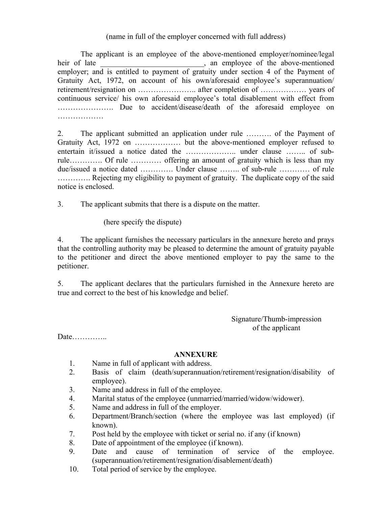### (name in full of the employer concerned with full address)

 The applicant is an employee of the above-mentioned employer/nominee/legal heir of late above neutral state above neutral state above neutral state above-mentioned employer; and is entitled to payment of gratuity under section 4 of the Payment of Gratuity Act, 1972, on account of his own/aforesaid employee's superannuation/ retirement/resignation on ………………….. after completion of ……………… years of continuous service/ his own aforesaid employee's total disablement with effect from …………………. Due to accident/disease/death of the aforesaid employee on ……………………

2. The applicant submitted an application under rule ………. of the Payment of Gratuity Act, 1972 on ……………… but the above-mentioned employer refused to entertain it/issued a notice dated the ……………….. under clause …….. of subrule…………. Of rule ………… offering an amount of gratuity which is less than my due/issued a notice dated …………. Under clause …….. of sub-rule ………… of rule …………. Rejecting my eligibility to payment of gratuity. The duplicate copy of the said notice is enclosed.

3. The applicant submits that there is a dispute on the matter.

(here specify the dispute)

4. The applicant furnishes the necessary particulars in the annexure hereto and prays that the controlling authority may be pleased to determine the amount of gratuity payable to the petitioner and direct the above mentioned employer to pay the same to the petitioner.

5. The applicant declares that the particulars furnished in the Annexure hereto are true and correct to the best of his knowledge and belief.

> Signature/Thumb-impression of the applicant

Date…………..

#### **ANNEXURE**

- 1. Name in full of applicant with address.
- 2. Basis of claim (death/superannuation/retirement/resignation/disability of employee).
- 3. Name and address in full of the employee.
- 4. Marital status of the employee (unmarried/married/widow/widower).
- 5. Name and address in full of the employer.
- 6. Department/Branch/section (where the employee was last employed) (if known).
- 7. Post held by the employee with ticket or serial no. if any (if known)
- 8. Date of appointment of the employee (if known).
- 9. Date and cause of termination of service of the employee. (superannuation/retirement/resignation/disablement/death)
- 10. Total period of service by the employee.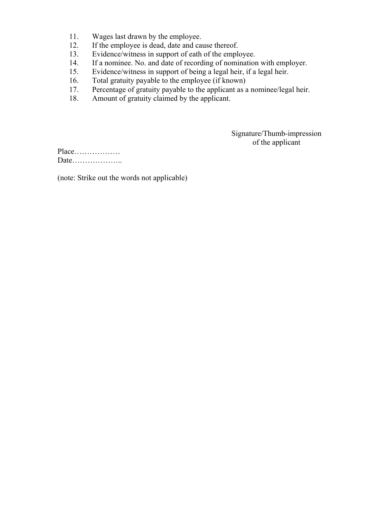- 11. Wages last drawn by the employee.
- 12. If the employee is dead, date and cause thereof.<br>13. Evidence/witness in support of eath of the emplo
- Evidence/witness in support of eath of the employee.
- 14. If a nominee. No. and date of recording of nomination with employer.
- 15. Evidence/witness in support of being a legal heir, if a legal heir.
- 16. Total gratuity payable to the employee (if known)<br>17. Percentage of gratuity payable to the applicant as a
- Percentage of gratuity payable to the applicant as a nominee/legal heir.
- 18. Amount of gratuity claimed by the applicant.

Signature/Thumb-impression of the applicant

Place……………… Date………………..

(note: Strike out the words not applicable)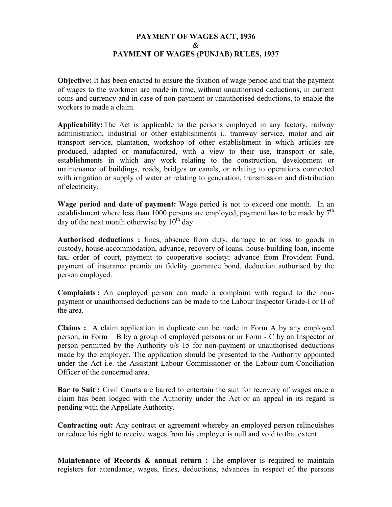## **PAYMENT OF WAGES ACT, 1936 & PAYMENT OF WAGES (PUNJAB) RULES, 1937**

**Objective:** It has been enacted to ensure the fixation of wage period and that the payment of wages to the workmen are made in time, without unauthorised deductions, in current coins and currency and in case of non-payment or unauthorised deductions, to enable the workers to made a claim.

**Applicability:** The Act is applicable to the persons employed in any factory, railway administration, industrial or other establishments i.. tramway service, motor and air transport service, plantation, workshop of other establishment in which articles are produced, adapted or manufactured, with a view to their use, transport or sale, establishments in which any work relating to the construction, development or maintenance of buildings, roads, bridges or canals, or relating to operations connected with irrigation or supply of water or relating to generation, transmission and distribution of electricity.

**Wage period and date of payment:** Wage period is not to exceed one month. In an establishment where less than 1000 persons are employed, payment has to be made by  $7<sup>th</sup>$ day of the next month otherwise by  $10^{th}$  day.

**Authorised deductions :** fines, absence from duty, damage to or loss to goods in custody, house-accommodation, advance, recovery of loans, house-building loan, income tax, order of court, payment to cooperative society; advance from Provident Fund, payment of insurance premia on fidelity guarantee bond, deduction authorised by the person employed.

**Complaints :** An employed person can made a complaint with regard to the nonpayment or unauthorised deductions can be made to the Labour Inspector Grade-I or II of the area.

**Claims :** A claim application in duplicate can be made in Form A by any employed person, in Form – B by a group of employed persons or in Form - C by an Inspector or person permitted by the Authority u/s 15 for non-payment or unauthorised deductions made by the employer. The application should be presented to the Authority appointed under the Act i.e. the Assistant Labour Commissioner or the Labour-cum-Conciliation Officer of the concerned area.

**Bar to Suit :** Civil Courts are barred to entertain the suit for recovery of wages once a claim has been lodged with the Authority under the Act or an appeal in its regard is pending with the Appellate Authority.

**Contracting out:** Any contract or agreement whereby an employed person relinquishes or reduce his right to receive wages from his employer is null and void to that extent.

**Maintenance of Records & annual return :** The employer is required to maintain registers for attendance, wages, fines, deductions, advances in respect of the persons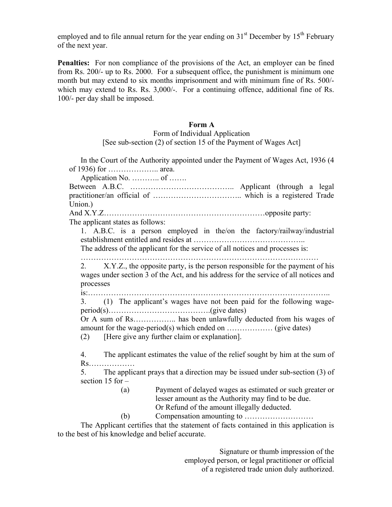employed and to file annual return for the year ending on  $31<sup>st</sup>$  December by  $15<sup>th</sup>$  February of the next year.

**Penalties:** For non compliance of the provisions of the Act, an employer can be fined from Rs. 200/- up to Rs. 2000. For a subsequent office, the punishment is minimum one month but may extend to six months imprisonment and with minimum fine of Rs. 500/ which may extend to Rs. Rs. 3,000/-. For a continuing offence, additional fine of Rs. 100/- per day shall be imposed.

#### **Form A**

Form of Individual Application [See sub-section (2) of section 15 of the Payment of Wages Act]

 In the Court of the Authority appointed under the Payment of Wages Act, 1936 (4 of 1936) for ……………….. area. Application No. ……….. of ……. Between A.B.C. ………………………………….. Applicant (through a legal practitioner/an official of …………………………….. which is a registered Trade Union.) And X.Y.Z………………………………………………………………opposite party: The applicant states as follows: 1. A.B.C. is a person employed in the/on the factory/railway/industrial establishment entitled and resides at …………………………………….. The address of the applicant for the service of all notices and processes is: ………………………………………………………………………………… 2. X.Y.Z., the opposite party, is the person responsible for the payment of his wages under section 3 of the Act, and his address for the service of all notices and processes is:………………………………………………………………………………….. 3. (1) The applicant's wages have not been paid for the following wageperiod(s)………………………………….(give dates) Or A sum of Rs…………….. has been unlawfully deducted from his wages of amount for the wage-period(s) which ended on ……………… (give dates) (2) [Here give any further claim or explanation]. 4. The applicant estimates the value of the relief sought by him at the sum of Rs……………… 5. The applicant prays that a direction may be issued under sub-section (3) of section  $15$  for  $-$ (a) Payment of delayed wages as estimated or such greater or lesser amount as the Authority may find to be due. Or Refund of the amount illegally deducted. (b) Compensation amounting to ………………………

 The Applicant certifies that the statement of facts contained in this application is to the best of his knowledge and belief accurate.

> Signature or thumb impression of the employed person, or legal practitioner or official of a registered trade union duly authorized.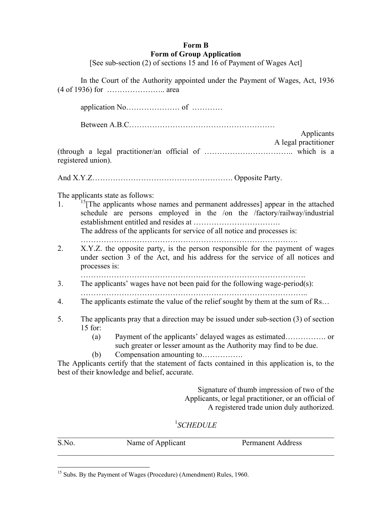### **Form B Form of Group Application**

[See sub-section (2) of sections 15 and 16 of Payment of Wages Act]

 In the Court of the Authority appointed under the Payment of Wages, Act, 1936 (4 of 1936) for ………………….. area application No………………… of ………… Between A.B.C………………………………………………… Applicants A legal practitioner (through a legal practitioner/an official of …………………………….. which is a registered union). And X.Y.Z………………………………………………. Opposite Party. The applicants state as follows: 1. <sup>15</sup>[The applicants whose names and permanent addresses] appear in the attached schedule are persons employed in the /on the /factory/railway/industrial establishment entitled and resides at ……………………………. The address of the applicants for service of all notice and processes is: …………………………………………………………………………. 2. X.Y.Z. the opposite party, is the person responsible for the payment of wages under section 3 of the Act, and his address for the service of all notices and processes is: ……………………………………………………………………………. 3. The applicants' wages have not been paid for the following wage-period(s): …………………………………………………………………………….. 4. The applicants estimate the value of the relief sought by them at the sum of Rs… 5. The applicants pray that a direction may be issued under sub-section (3) of section 15 for: (a) Payment of the applicants' delayed wages as estimated……………. or such greater or lesser amount as the Authority may find to be due. (b) Compensation amounting to……………. The Applicants certify that the statement of facts contained in this application is, to the best of their knowledge and belief, accurate. Signature of thumb impression of two of the Applicants, or legal practitioner, or an official of A registered trade union duly authorized.

## 1 *SCHEDULE*

| S.No. | Name of Applicant | <b>Permanent Address</b> |
|-------|-------------------|--------------------------|
|       |                   |                          |

<sup>&</sup>lt;sup>15</sup> Subs. By the Payment of Wages (Procedure) (Amendment) Rules, 1960.

<u>.</u>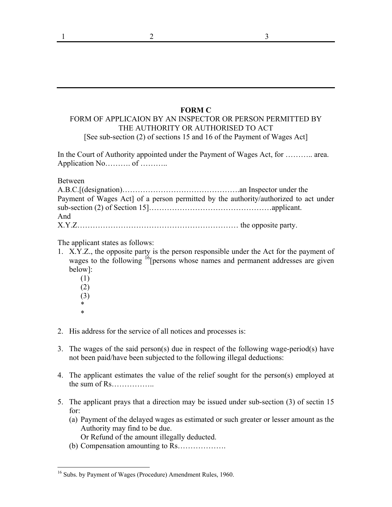#### **FORM C**

### FORM OF APPLICAION BY AN INSPECTOR OR PERSON PERMITTED BY THE AUTHORITY OR AUTHORISED TO ACT [See sub-section (2) of sections 15 and 16 of the Payment of Wages Act]

In the Court of Authority appointed under the Payment of Wages Act, for ……….. area. Application No……….. of …………

Between

| Payment of Wages Act] of a person permitted by the authority/authorized to act under |  |
|--------------------------------------------------------------------------------------|--|
|                                                                                      |  |
| And                                                                                  |  |
|                                                                                      |  |

The applicant states as follows:

- 1. X.Y.Z., the opposite party is the person responsible under the Act for the payment of wages to the following  $16$ [persons whose names and permanent addresses are given below]:
- (1) (2) (3) \* \*

<u>.</u>

- 2. His address for the service of all notices and processes is:
- 3. The wages of the said person(s) due in respect of the following wage-period(s) have not been paid/have been subjected to the following illegal deductions:
- 4. The applicant estimates the value of the relief sought for the person(s) employed at the sum of Rs……………..
- 5. The applicant prays that a direction may be issued under sub-section (3) of sectin 15 for:
	- (a) Payment of the delayed wages as estimated or such greater or lesser amount as the Authority may find to be due.

Or Refund of the amount illegally deducted.

(b) Compensation amounting to Rs……………….

<sup>&</sup>lt;sup>16</sup> Subs. by Payment of Wages (Procedure) Amendment Rules, 1960.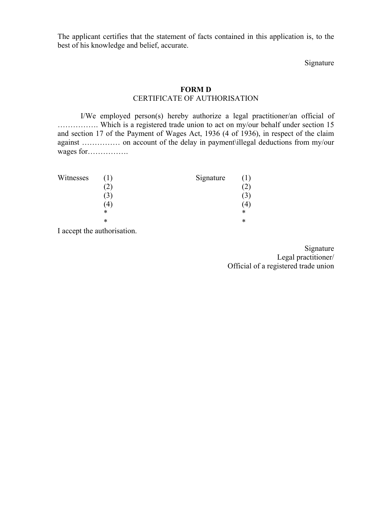The applicant certifies that the statement of facts contained in this application is, to the best of his knowledge and belief, accurate.

Signature

#### **FORM D**

### CERTIFICATE OF AUTHORISATION

 I/We employed person(s) hereby authorize a legal practitioner/an official of ……………. Which is a registered trade union to act on my/our behalf under section 15 and section 17 of the Payment of Wages Act, 1936 (4 of 1936), in respect of the claim against …………… on account of the delay in payment\illegal deductions from my/our wages for…………….

| Witnesses |               | Signature | (1)               |
|-----------|---------------|-----------|-------------------|
|           | $\hat{c}$     |           | $\left( 2\right)$ |
|           | $\mathcal{L}$ |           | $\mathcal{L}$     |
|           | 4             |           | . 4,              |
|           | ∗             |           | $\ast$            |
|           | $\ast$        |           | *                 |
|           |               |           |                   |

I accept the authorisation.

Signature Legal practitioner/ Official of a registered trade union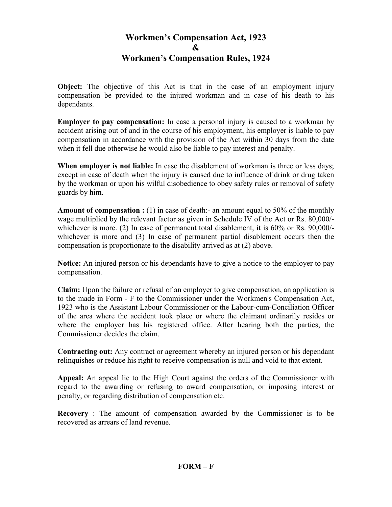# **Workmen's Compensation Act, 1923 & Workmen's Compensation Rules, 1924**

**Object:** The objective of this Act is that in the case of an employment injury compensation be provided to the injured workman and in case of his death to his dependants.

**Employer to pay compensation:** In case a personal injury is caused to a workman by accident arising out of and in the course of his employment, his employer is liable to pay compensation in accordance with the provision of the Act within 30 days from the date when it fell due otherwise he would also be liable to pay interest and penalty.

**When employer is not liable:** In case the disablement of workman is three or less days; except in case of death when the injury is caused due to influence of drink or drug taken by the workman or upon his wilful disobedience to obey safety rules or removal of safety guards by him.

**Amount of compensation :** (1) in case of death:- an amount equal to 50% of the monthly wage multiplied by the relevant factor as given in Schedule IV of the Act or Rs. 80,000/ whichever is more. (2) In case of permanent total disablement, it is  $60\%$  or Rs. 90,000/whichever is more and (3) In case of permanent partial disablement occurs then the compensation is proportionate to the disability arrived as at (2) above.

**Notice:** An injured person or his dependants have to give a notice to the employer to pay compensation.

**Claim:** Upon the failure or refusal of an employer to give compensation, an application is to the made in Form - F to the Commissioner under the Workmen's Compensation Act, 1923 who is the Assistant Labour Commissioner or the Labour-cum-Conciliation Officer of the area where the accident took place or where the claimant ordinarily resides or where the employer has his registered office. After hearing both the parties, the Commissioner decides the claim.

**Contracting out:** Any contract or agreement whereby an injured person or his dependant relinquishes or reduce his right to receive compensation is null and void to that extent.

**Appeal:** An appeal lie to the High Court against the orders of the Commissioner with regard to the awarding or refusing to award compensation, or imposing interest or penalty, or regarding distribution of compensation etc.

**Recovery** : The amount of compensation awarded by the Commissioner is to be recovered as arrears of land revenue.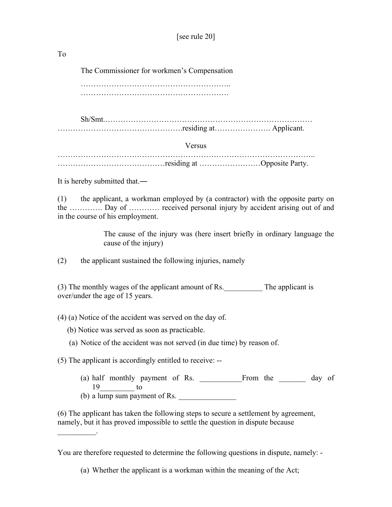To

The Commissioner for workmen's Compensation

 ………………………………………………….. ………………………………………………….

 Sh/Smt.……………………………………………………………………… ………………………………………….residing at…………………. Applicant.

Versus

……………………………………………………………………………………….. ……………………………………residing at ……………………Opposite Party.

It is hereby submitted that.―

 $\mathcal{L}=\mathcal{L}^{\mathcal{L}}$ 

(1) the applicant, a workman employed by (a contractor) with the opposite party on the …………. Day of ………… received personal injury by accident arising out of and in the course of his employment.

> The cause of the injury was (here insert briefly in ordinary language the cause of the injury)

(2) the applicant sustained the following injuries, namely

(3) The monthly wages of the applicant amount of Rs. The applicant is over/under the age of 15 years.

(4) (a) Notice of the accident was served on the day of.

- (b) Notice was served as soon as practicable.
- (a) Notice of the accident was not served (in due time) by reason of.

(5) The applicant is accordingly entitled to receive: --

(a) half monthly payment of Rs. \_\_\_\_\_\_\_\_\_\_\_From the \_\_\_\_\_\_\_ day of 19 to (b) a lump sum payment of Rs.

(6) The applicant has taken the following steps to secure a settlement by agreement, namely, but it has proved impossible to settle the question in dispute because

You are therefore requested to determine the following questions in dispute, namely: -

<sup>(</sup>a) Whether the applicant is a workman within the meaning of the Act;